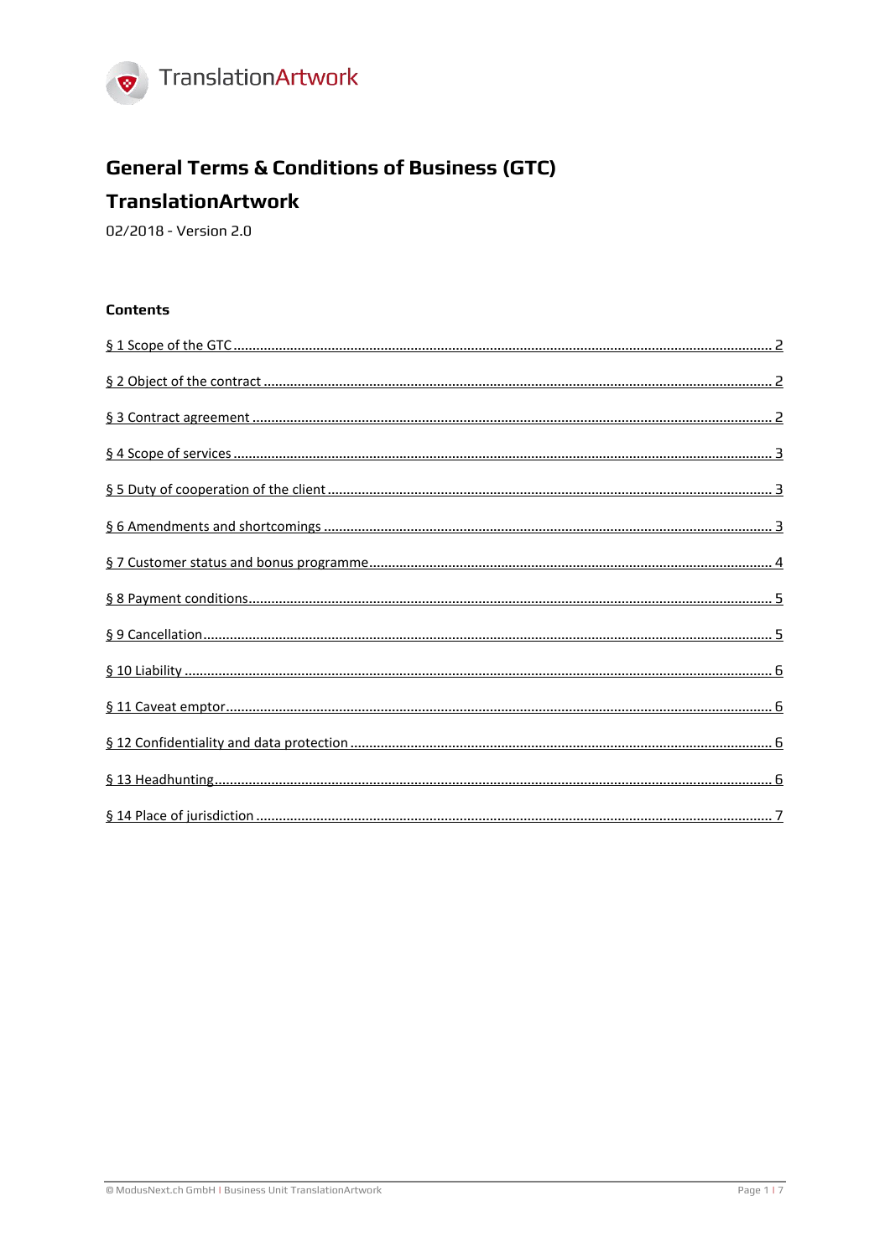

# **General Terms & Conditions of Business (GTC)**

## **TranslationArtwork**

02/2018 - Version 2.0

#### **Contents**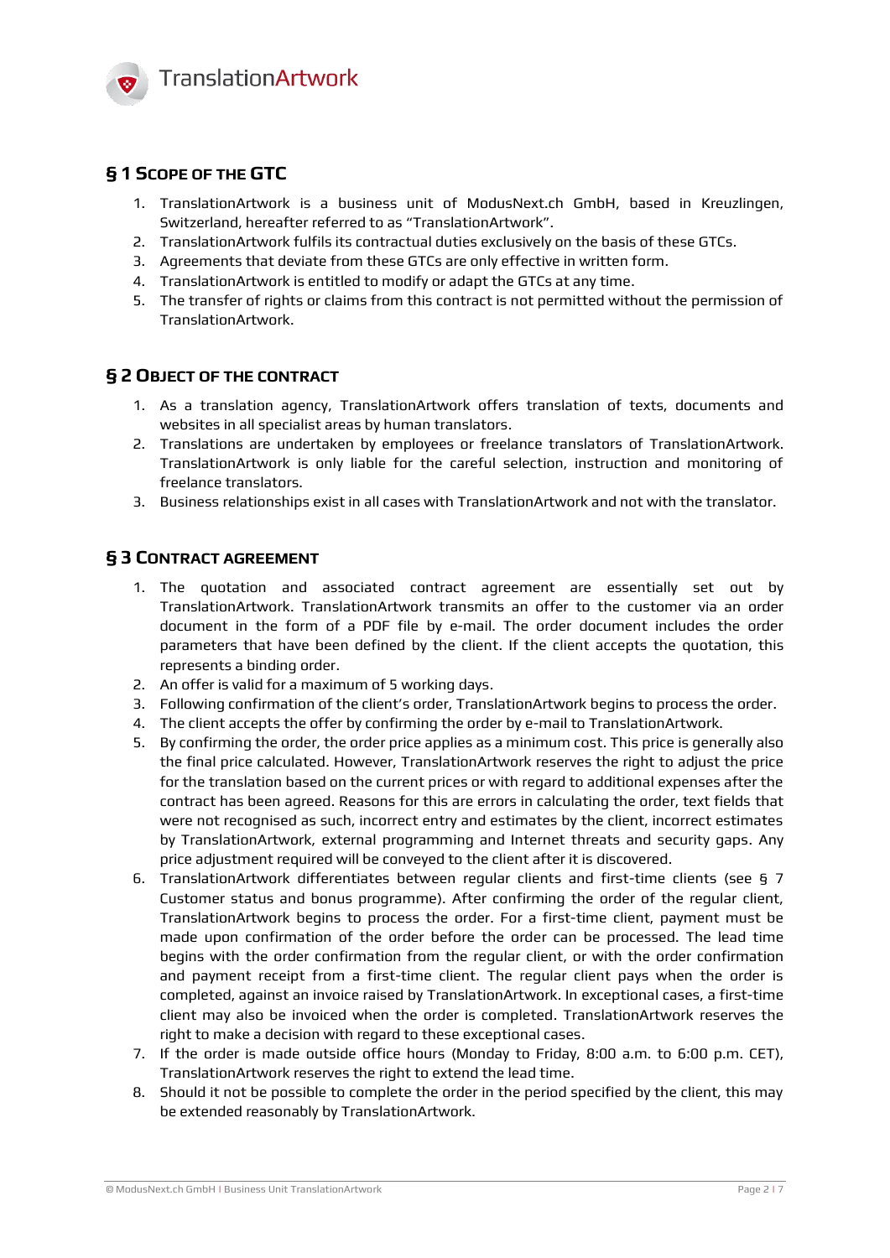

## <span id="page-1-0"></span>**§ 1 SCOPE OF THE GTC**

- 1. TranslationArtwork is a business unit of ModusNext.ch GmbH, based in Kreuzlingen, Switzerland, hereafter referred to as "TranslationArtwork".
- 2. TranslationArtwork fulfils its contractual duties exclusively on the basis of these GTCs.
- 3. Agreements that deviate from these GTCs are only effective in written form.
- 4. TranslationArtwork is entitled to modify or adapt the GTCs at any time.
- 5. The transfer of rights or claims from this contract is not permitted without the permission of TranslationArtwork.

#### <span id="page-1-1"></span>**§ 2 OBJECT OF THE CONTRACT**

- 1. As a translation agency, TranslationArtwork offers translation of texts, documents and websites in all specialist areas by human translators.
- 2. Translations are undertaken by employees or freelance translators of TranslationArtwork. TranslationArtwork is only liable for the careful selection, instruction and monitoring of freelance translators.
- <span id="page-1-2"></span>3. Business relationships exist in all cases with TranslationArtwork and not with the translator.

#### **§ 3 CONTRACT AGREEMENT**

- 1. The quotation and associated contract agreement are essentially set out by TranslationArtwork. TranslationArtwork transmits an offer to the customer via an order document in the form of a PDF file by e-mail. The order document includes the order parameters that have been defined by the client. If the client accepts the quotation, this represents a binding order.
- 2. An offer is valid for a maximum of 5 working days.
- 3. Following confirmation of the client's order, TranslationArtwork begins to process the order.
- 4. The client accepts the offer by confirming the order by e-mail to TranslationArtwork.
- 5. By confirming the order, the order price applies as a minimum cost. This price is generally also the final price calculated. However, TranslationArtwork reserves the right to adjust the price for the translation based on the current prices or with regard to additional expenses after the contract has been agreed. Reasons for this are errors in calculating the order, text fields that were not recognised as such, incorrect entry and estimates by the client, incorrect estimates by TranslationArtwork, external programming and Internet threats and security gaps. Any price adjustment required will be conveyed to the client after it is discovered.
- 6. TranslationArtwork differentiates between regular clients and first-time clients (see [§ 7](#page-3-0)  [Customer status and bonus programme\)](#page-3-0). After confirming the order of the regular client, TranslationArtwork begins to process the order. For a first-time client, payment must be made upon confirmation of the order before the order can be processed. The lead time begins with the order confirmation from the regular client, or with the order confirmation and payment receipt from a first-time client. The regular client pays when the order is completed, against an invoice raised by TranslationArtwork. In exceptional cases, a first-time client may also be invoiced when the order is completed. TranslationArtwork reserves the right to make a decision with regard to these exceptional cases.
- 7. If the order is made outside office hours (Monday to Friday, 8:00 a.m. to 6:00 p.m. CET), TranslationArtwork reserves the right to extend the lead time.
- 8. Should it not be possible to complete the order in the period specified by the client, this may be extended reasonably by TranslationArtwork.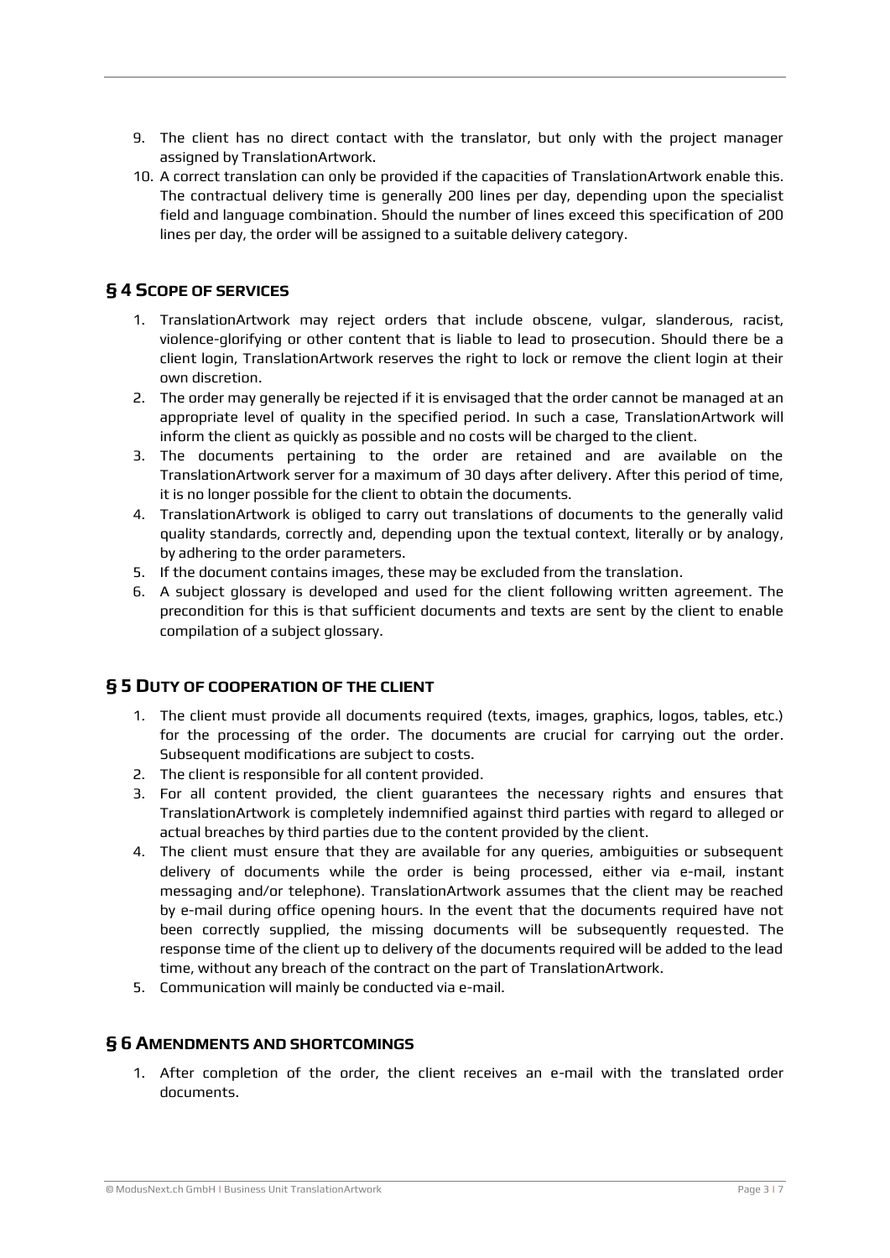- 9. The client has no direct contact with the translator, but only with the project manager assigned by TranslationArtwork.
- 10. A correct translation can only be provided if the capacities of TranslationArtwork enable this. The contractual delivery time is generally 200 lines per day, depending upon the specialist field and language combination. Should the number of lines exceed this specification of 200 lines per day, the order will be assigned to a suitable delivery category.

## <span id="page-2-0"></span>**§ 4 SCOPE OF SERVICES**

- 1. TranslationArtwork may reject orders that include obscene, vulgar, slanderous, racist, violence-glorifying or other content that is liable to lead to prosecution. Should there be a client login, TranslationArtwork reserves the right to lock or remove the client login at their own discretion.
- 2. The order may generally be rejected if it is envisaged that the order cannot be managed at an appropriate level of quality in the specified period. In such a case, TranslationArtwork will inform the client as quickly as possible and no costs will be charged to the client.
- 3. The documents pertaining to the order are retained and are available on the TranslationArtwork server for a maximum of 30 days after delivery. After this period of time, it is no longer possible for the client to obtain the documents.
- 4. TranslationArtwork is obliged to carry out translations of documents to the generally valid quality standards, correctly and, depending upon the textual context, literally or by analogy, by adhering to the order parameters.
- 5. If the document contains images, these may be excluded from the translation.
- 6. A subject glossary is developed and used for the client following written agreement. The precondition for this is that sufficient documents and texts are sent by the client to enable compilation of a subject glossary.

#### <span id="page-2-1"></span>**§ 5 DUTY OF COOPERATION OF THE CLIENT**

- 1. The client must provide all documents required (texts, images, graphics, logos, tables, etc.) for the processing of the order. The documents are crucial for carrying out the order. Subsequent modifications are subject to costs.
- 2. The client is responsible for all content provided.
- 3. For all content provided, the client guarantees the necessary rights and ensures that TranslationArtwork is completely indemnified against third parties with regard to alleged or actual breaches by third parties due to the content provided by the client.
- 4. The client must ensure that they are available for any queries, ambiguities or subsequent delivery of documents while the order is being processed, either via e-mail, instant messaging and/or telephone). TranslationArtwork assumes that the client may be reached by e-mail during office opening hours. In the event that the documents required have not been correctly supplied, the missing documents will be subsequently requested. The response time of the client up to delivery of the documents required will be added to the lead time, without any breach of the contract on the part of TranslationArtwork.
- <span id="page-2-2"></span>5. Communication will mainly be conducted via e-mail.

#### **§ 6 AMENDMENTS AND SHORTCOMINGS**

1. After completion of the order, the client receives an e-mail with the translated order documents.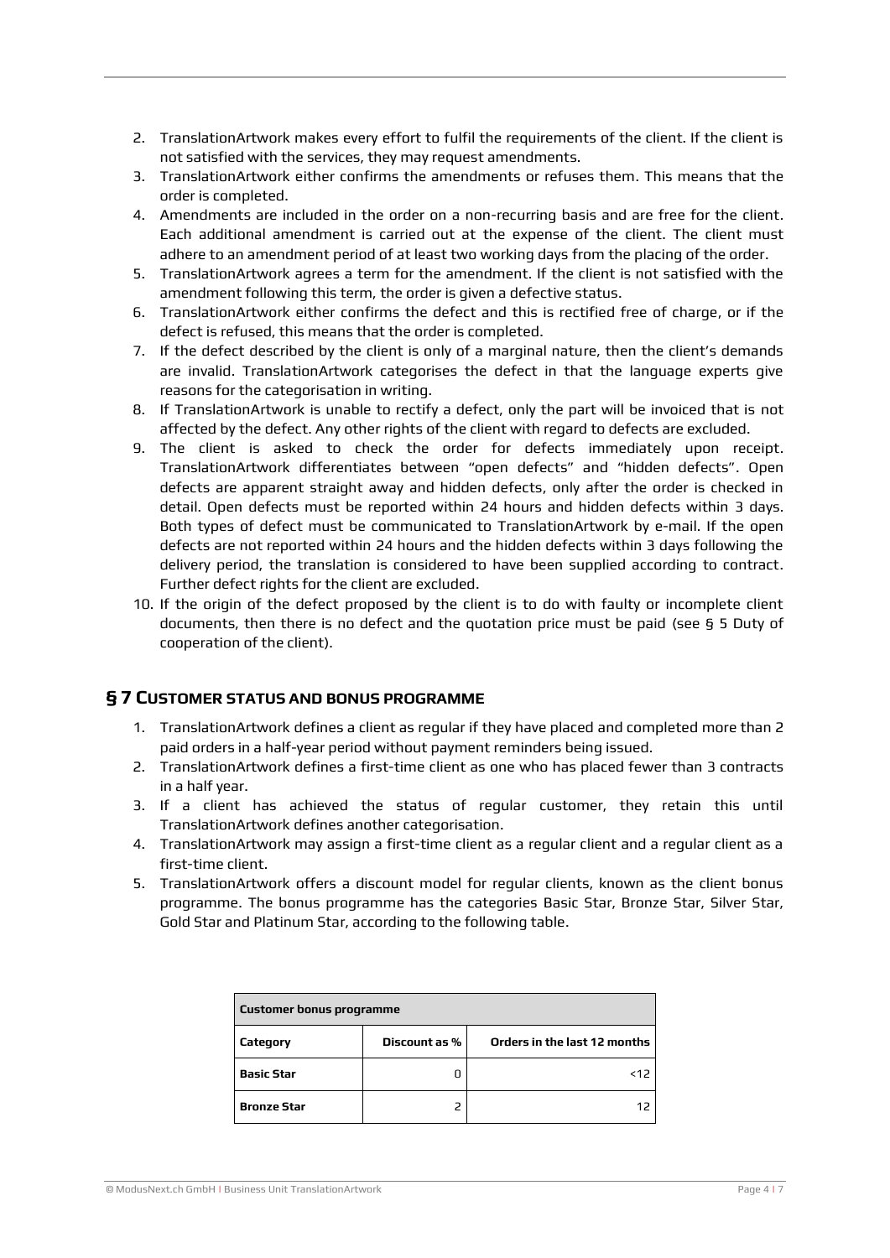- 2. TranslationArtwork makes every effort to fulfil the requirements of the client. If the client is not satisfied with the services, they may request amendments.
- 3. TranslationArtwork either confirms the amendments or refuses them. This means that the order is completed.
- 4. Amendments are included in the order on a non-recurring basis and are free for the client. Each additional amendment is carried out at the expense of the client. The client must adhere to an amendment period of at least two working days from the placing of the order.
- 5. TranslationArtwork agrees a term for the amendment. If the client is not satisfied with the amendment following this term, the order is given a defective status.
- 6. TranslationArtwork either confirms the defect and this is rectified free of charge, or if the defect is refused, this means that the order is completed.
- 7. If the defect described by the client is only of a marginal nature, then the client's demands are invalid. TranslationArtwork categorises the defect in that the language experts give reasons for the categorisation in writing.
- 8. If TranslationArtwork is unable to rectify a defect, only the part will be invoiced that is not affected by the defect. Any other rights of the client with regard to defects are excluded.
- 9. The client is asked to check the order for defects immediately upon receipt. TranslationArtwork differentiates between "open defects" and "hidden defects". Open defects are apparent straight away and hidden defects, only after the order is checked in detail. Open defects must be reported within 24 hours and hidden defects within 3 days. Both types of defect must be communicated to TranslationArtwork by e-mail. If the open defects are not reported within 24 hours and the hidden defects within 3 days following the delivery period, the translation is considered to have been supplied according to contract. Further defect rights for the client are excluded.
- 10. If the origin of the defect proposed by the client is to do with faulty or incomplete client documents, then there is no defect and the quotation price must be paid (see [§ 5 Duty of](#page-2-1)  [cooperation of the client\)](#page-2-1).

#### <span id="page-3-0"></span>**§ 7 CUSTOMER STATUS AND BONUS PROGRAMME**

- 1. TranslationArtwork defines a client as regular if they have placed and completed more than 2 paid orders in a half-year period without payment reminders being issued.
- 2. TranslationArtwork defines a first-time client as one who has placed fewer than 3 contracts in a half year.
- 3. If a client has achieved the status of regular customer, they retain this until TranslationArtwork defines another categorisation.
- 4. TranslationArtwork may assign a first-time client as a regular client and a regular client as a first-time client.
- 5. TranslationArtwork offers a discount model for regular clients, known as the client bonus programme. The bonus programme has the categories Basic Star, Bronze Star, Silver Star, Gold Star and Platinum Star, according to the following table.

| <b>Customer bonus programme</b> |               |                              |  |
|---------------------------------|---------------|------------------------------|--|
| Category                        | Discount as % | Orders in the last 12 months |  |
| Basic Star                      |               | <12                          |  |
| <b>Bronze Star</b>              |               | 12                           |  |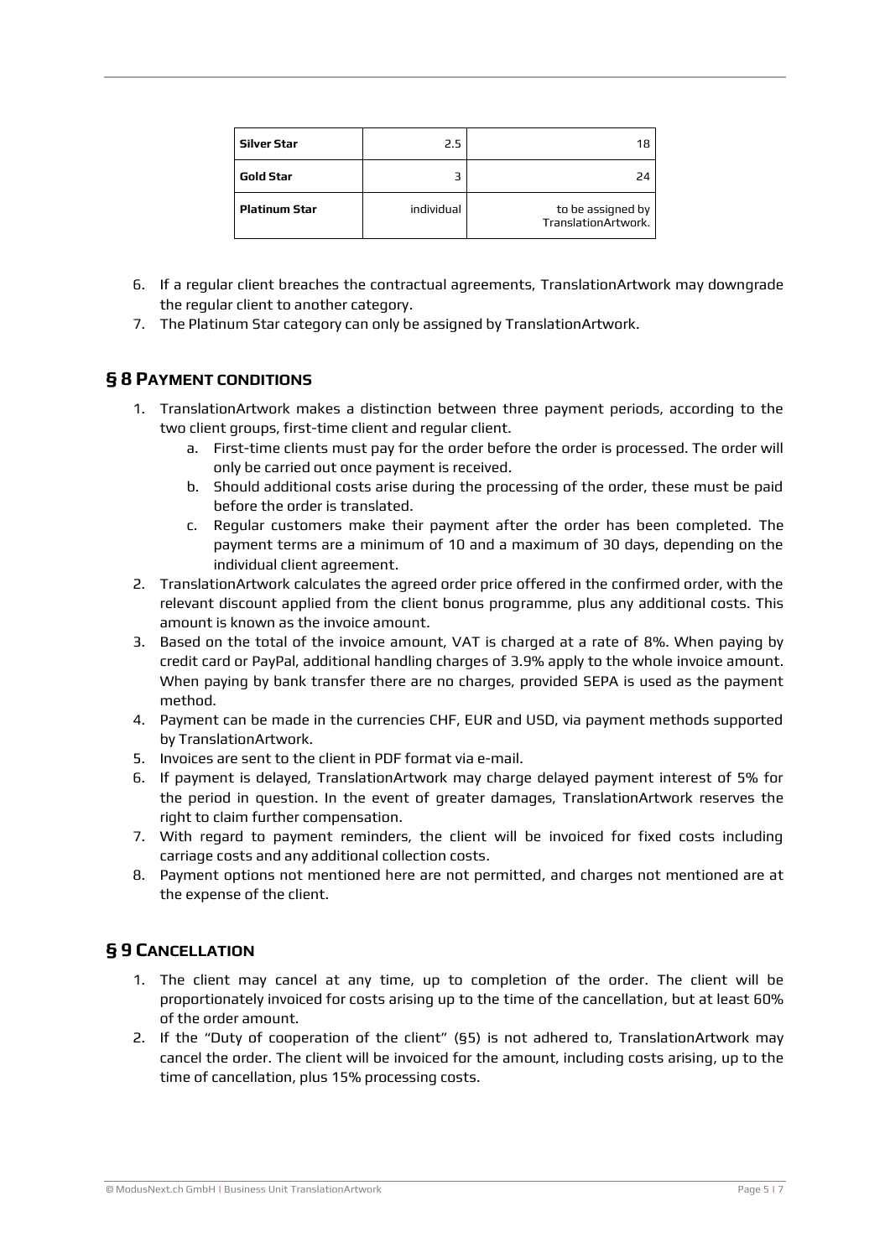| <b>Silver Star</b>   | 2.5        | 18                                       |
|----------------------|------------|------------------------------------------|
| Gold Star            |            | 24                                       |
| <b>Platinum Star</b> | individual | to be assigned by<br>TranslationArtwork. |

- 6. If a regular client breaches the contractual agreements, TranslationArtwork may downgrade the regular client to another category.
- <span id="page-4-0"></span>7. The Platinum Star category can only be assigned by TranslationArtwork.

#### **§ 8 PAYMENT CONDITIONS**

- 1. TranslationArtwork makes a distinction between three payment periods, according to the two client groups, first-time client and regular client.
	- a. First-time clients must pay for the order before the order is processed. The order will only be carried out once payment is received.
	- b. Should additional costs arise during the processing of the order, these must be paid before the order is translated.
	- c. Regular customers make their payment after the order has been completed. The payment terms are a minimum of 10 and a maximum of 30 days, depending on the individual client agreement.
- 2. TranslationArtwork calculates the agreed order price offered in the confirmed order, with the relevant discount applied from the client bonus programme, plus any additional costs. This amount is known as the invoice amount.
- 3. Based on the total of the invoice amount, VAT is charged at a rate of 8%. When paying by credit card or PayPal, additional handling charges of 3.9% apply to the whole invoice amount. When paying by bank transfer there are no charges, provided SEPA is used as the payment method.
- 4. Payment can be made in the currencies CHF, EUR and USD, via payment methods supported by TranslationArtwork.
- 5. Invoices are sent to the client in PDF format via e-mail.
- 6. If payment is delayed, TranslationArtwork may charge delayed payment interest of 5% for the period in question. In the event of greater damages, TranslationArtwork reserves the right to claim further compensation.
- 7. With regard to payment reminders, the client will be invoiced for fixed costs including carriage costs and any additional collection costs.
- 8. Payment options not mentioned here are not permitted, and charges not mentioned are at the expense of the client.

#### <span id="page-4-1"></span>**§ 9 CANCELLATION**

- 1. The client may cancel at any time, up to completion of the order. The client will be proportionately invoiced for costs arising up to the time of the cancellation, but at least 60% of the order amount.
- 2. If the "Duty of cooperation of the client" (§5) is not adhered to, TranslationArtwork may cancel the order. The client will be invoiced for the amount, including costs arising, up to the time of cancellation, plus 15% processing costs.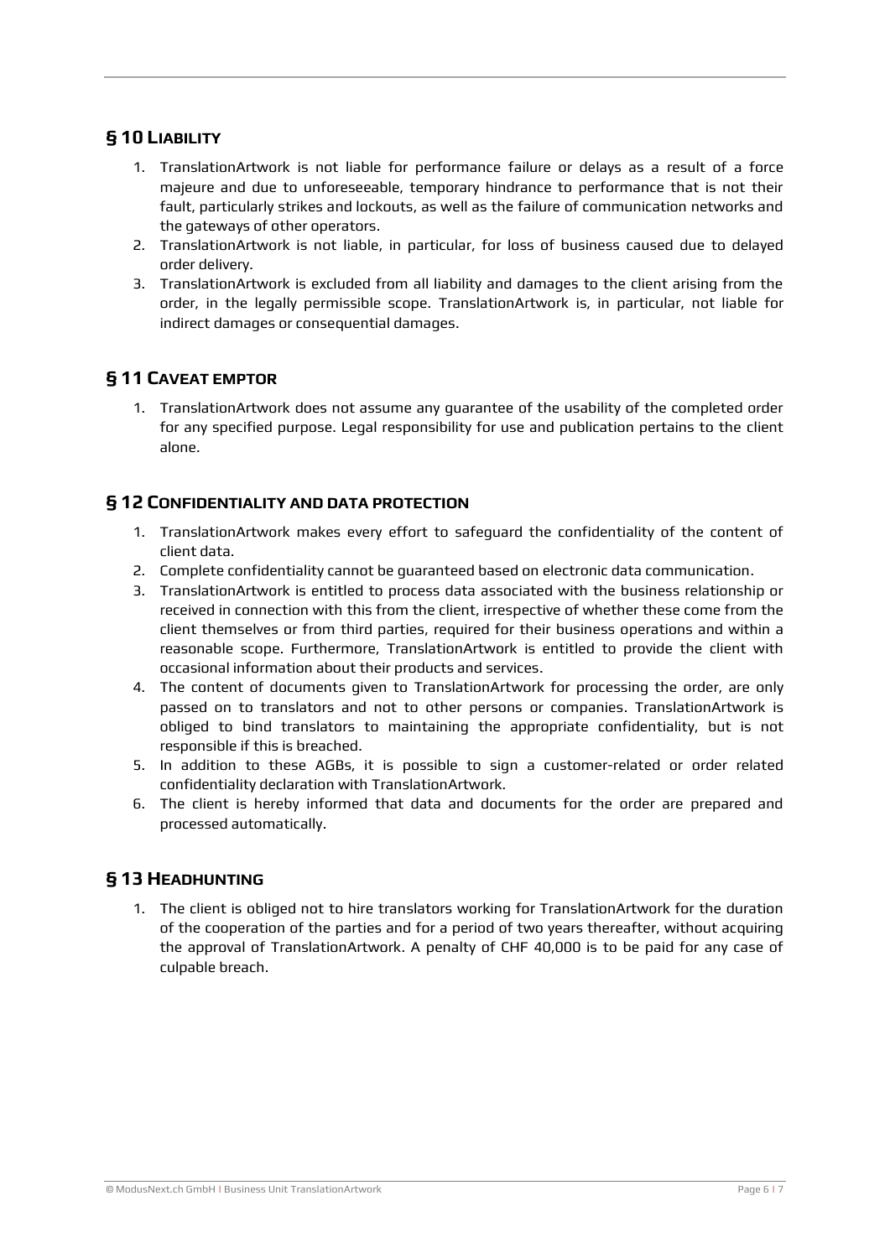## <span id="page-5-0"></span>**§ 10 LIABILITY**

- 1. TranslationArtwork is not liable for performance failure or delays as a result of a force majeure and due to unforeseeable, temporary hindrance to performance that is not their fault, particularly strikes and lockouts, as well as the failure of communication networks and the gateways of other operators.
- 2. TranslationArtwork is not liable, in particular, for loss of business caused due to delayed order delivery.
- 3. TranslationArtwork is excluded from all liability and damages to the client arising from the order, in the legally permissible scope. TranslationArtwork is, in particular, not liable for indirect damages or consequential damages.

## <span id="page-5-1"></span>**§ 11 CAVEAT EMPTOR**

1. TranslationArtwork does not assume any guarantee of the usability of the completed order for any specified purpose. Legal responsibility for use and publication pertains to the client alone.

## <span id="page-5-2"></span>**§ 12 CONFIDENTIALITY AND DATA PROTECTION**

- 1. TranslationArtwork makes every effort to safeguard the confidentiality of the content of client data.
- 2. Complete confidentiality cannot be guaranteed based on electronic data communication.
- 3. TranslationArtwork is entitled to process data associated with the business relationship or received in connection with this from the client, irrespective of whether these come from the client themselves or from third parties, required for their business operations and within a reasonable scope. Furthermore, TranslationArtwork is entitled to provide the client with occasional information about their products and services.
- 4. The content of documents given to TranslationArtwork for processing the order, are only passed on to translators and not to other persons or companies. TranslationArtwork is obliged to bind translators to maintaining the appropriate confidentiality, but is not responsible if this is breached.
- 5. In addition to these AGBs, it is possible to sign a customer-related or order related confidentiality declaration with TranslationArtwork.
- 6. The client is hereby informed that data and documents for the order are prepared and processed automatically.

#### <span id="page-5-3"></span>**§ 13 HEADHUNTING**

1. The client is obliged not to hire translators working for TranslationArtwork for the duration of the cooperation of the parties and for a period of two years thereafter, without acquiring the approval of TranslationArtwork. A penalty of CHF 40,000 is to be paid for any case of culpable breach.